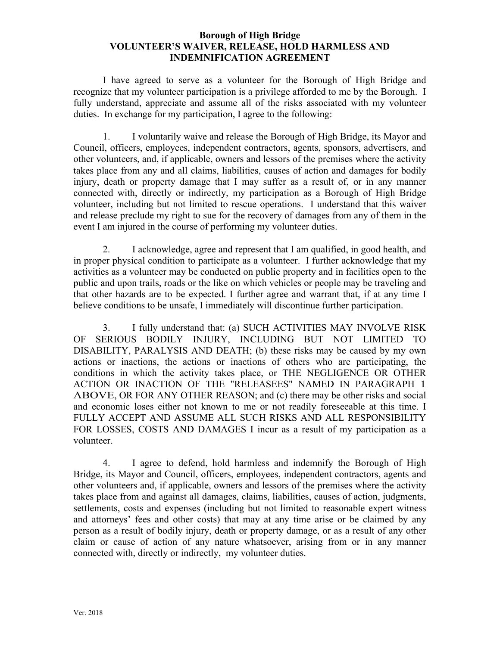## **Borough of High Bridge VOLUNTEER'S WAIVER, RELEASE, HOLD HARMLESS AND INDEMNIFICATION AGREEMENT**

I have agreed to serve as a volunteer for the Borough of High Bridge and recognize that my volunteer participation is a privilege afforded to me by the Borough. I fully understand, appreciate and assume all of the risks associated with my volunteer duties. In exchange for my participation, I agree to the following:

 1. I voluntarily waive and release the Borough of High Bridge, its Mayor and Council, officers, employees, independent contractors, agents, sponsors, advertisers, and other volunteers, and, if applicable, owners and lessors of the premises where the activity takes place from any and all claims, liabilities, causes of action and damages for bodily injury, death or property damage that I may suffer as a result of, or in any manner connected with, directly or indirectly, my participation as a Borough of High Bridge volunteer, including but not limited to rescue operations. I understand that this waiver and release preclude my right to sue for the recovery of damages from any of them in the event I am injured in the course of performing my volunteer duties.

 2. I acknowledge, agree and represent that I am qualified, in good health, and in proper physical condition to participate as a volunteer. I further acknowledge that my activities as a volunteer may be conducted on public property and in facilities open to the public and upon trails, roads or the like on which vehicles or people may be traveling and that other hazards are to be expected. I further agree and warrant that, if at any time I believe conditions to be unsafe, I immediately will discontinue further participation.

3. I fully understand that: (a) SUCH ACTIVITIES MAY INVOLVE RISK OF SERIOUS BODILY INJURY, INCLUDING BUT NOT LIMITED TO DISABILITY, PARALYSIS AND DEATH; (b) these risks may be caused by my own actions or inactions, the actions or inactions of others who are participating, the conditions in which the activity takes place, or THE NEGLIGENCE OR OTHER ACTION OR INACTION OF THE "RELEASEES" NAMED IN PARAGRAPH 1 ABOVE, OR FOR ANY OTHER REASON; and (c) there may be other risks and social and economic loses either not known to me or not readily foreseeable at this time. I FULLY ACCEPT AND ASSUME ALL SUCH RISKS AND ALL RESPONSIBILITY FOR LOSSES, COSTS AND DAMAGES I incur as a result of my participation as a volunteer.

4. I agree to defend, hold harmless and indemnify the Borough of High Bridge, its Mayor and Council, officers, employees, independent contractors, agents and other volunteers and, if applicable, owners and lessors of the premises where the activity takes place from and against all damages, claims, liabilities, causes of action, judgments, settlements, costs and expenses (including but not limited to reasonable expert witness and attorneys' fees and other costs) that may at any time arise or be claimed by any person as a result of bodily injury, death or property damage, or as a result of any other claim or cause of action of any nature whatsoever, arising from or in any manner connected with, directly or indirectly, my volunteer duties.